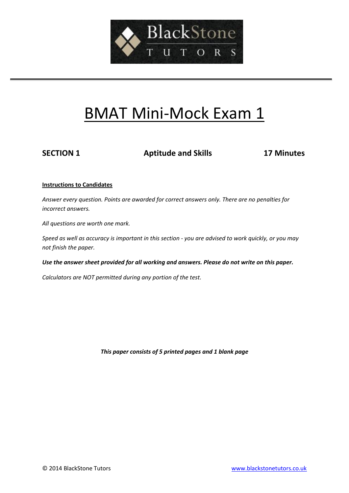

# BMAT Mini-Mock Exam 1

**SECTION 1** Aptitude and Skills 17 Minutes

# **Instructions to Candidates**

*Answer every question. Points are awarded for correct answers only. There are no penalties for incorrect answers.*

*All questions are worth one mark.*

*Speed as well as accuracy is important in this section - you are advised to work quickly, or you may not finish the paper.*

*Use the answer sheet provided for all working and answers. Please do not write on this paper.*

*Calculators are NOT permitted during any portion of the test.*

*This paper consists of 5 printed pages and 1 blank page*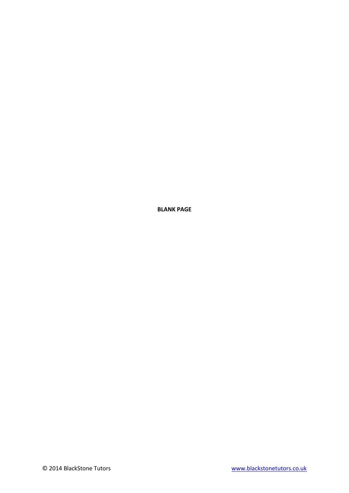**BLANK PAGE**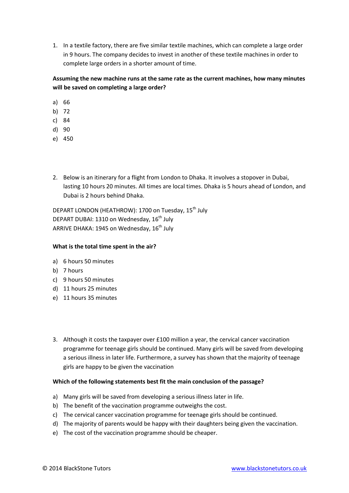1. In a textile factory, there are five similar textile machines, which can complete a large order in 9 hours. The company decides to invest in another of these textile machines in order to complete large orders in a shorter amount of time.

# **Assuming the new machine runs at the same rate as the current machines, how many minutes will be saved on completing a large order?**

- a) 66
- b) 72
- c) 84
- d) 90
- e) 450
- 2. Below is an itinerary for a flight from London to Dhaka. It involves a stopover in Dubai, lasting 10 hours 20 minutes. All times are local times. Dhaka is 5 hours ahead of London, and Dubai is 2 hours behind Dhaka.

DEPART LONDON (HEATHROW): 1700 on Tuesday, 15<sup>th</sup> July DEPART DUBAI: 1310 on Wednesday, 16<sup>th</sup> July ARRIVE DHAKA: 1945 on Wednesday,  $16^{th}$  July

# **What is the total time spent in the air?**

- a) 6 hours 50 minutes
- b) 7 hours
- c) 9 hours 50 minutes
- d) 11 hours 25 minutes
- e) 11 hours 35 minutes
- 3. Although it costs the taxpayer over £100 million a year, the cervical cancer vaccination programme for teenage girls should be continued. Many girls will be saved from developing a serious illness in later life. Furthermore, a survey has shown that the majority of teenage girls are happy to be given the vaccination

#### **Which of the following statements best fit the main conclusion of the passage?**

- a) Many girls will be saved from developing a serious illness later in life.
- b) The benefit of the vaccination programme outweighs the cost.
- c) The cervical cancer vaccination programme for teenage girls should be continued.
- d) The majority of parents would be happy with their daughters being given the vaccination.
- e) The cost of the vaccination programme should be cheaper.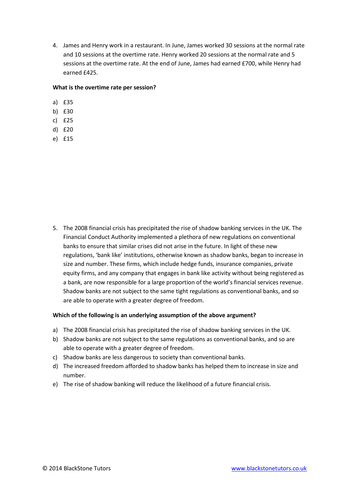4. James and Henry work in a restaurant. In June, James worked 30 sessions at the normal rate and 10 sessions at the overtime rate. Henry worked 20 sessions at the normal rate and 5 sessions at the overtime rate. At the end of June, James had earned £700, while Henry had earned £425.

#### **What is the overtime rate per session?**

- a) £35
- b) £30
- c) £25
- d) £20
- e) £15

5. The 2008 financial crisis has precipitated the rise of shadow banking services in the UK. The Financial Conduct Authority implemented a plethora of new regulations on conventional banks to ensure that similar crises did not arise in the future. In light of these new regulations, 'bank like' institutions, otherwise known as shadow banks, began to increase in size and number. These firms, which include hedge funds, insurance companies, private equity firms, and any company that engages in bank like activity without being registered as a bank, are now responsible for a large proportion of the world's financial services revenue. Shadow banks are not subject to the same tight regulations as conventional banks, and so are able to operate with a greater degree of freedom.

#### **Which of the following is an underlying assumption of the above argument?**

- a) The 2008 financial crisis has precipitated the rise of shadow banking services in the UK.
- b) Shadow banks are not subject to the same regulations as conventional banks, and so are able to operate with a greater degree of freedom.
- c) Shadow banks are less dangerous to society than conventional banks.
- d) The increased freedom afforded to shadow banks has helped them to increase in size and number.
- e) The rise of shadow banking will reduce the likelihood of a future financial crisis.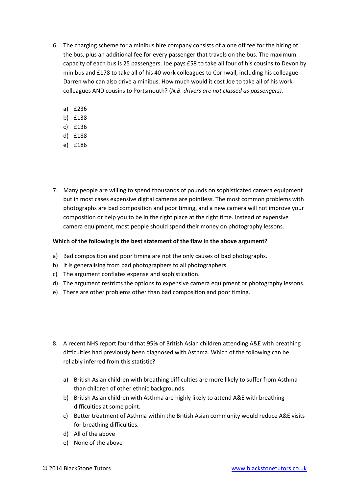- 6. The charging scheme for a minibus hire company consists of a one off fee for the hiring of the bus, plus an additional fee for every passenger that travels on the bus. The maximum capacity of each bus is 25 passengers. Joe pays £58 to take all four of his cousins to Devon by minibus and £178 to take all of his 40 work colleagues to Cornwall, including his colleague Darren who can also drive a minibus. How much would it cost Joe to take all of his work colleagues AND cousins to Portsmouth? (*N.B. drivers are not classed as passengers).*
	- a) £236
	- b) £138
	- c) £136
	- d) £188
	- e) £186
- 7. Many people are willing to spend thousands of pounds on sophisticated camera equipment but in most cases expensive digital cameras are pointless. The most common problems with photographs are bad composition and poor timing, and a new camera will not improve your composition or help you to be in the right place at the right time. Instead of expensive camera equipment, most people should spend their money on photography lessons.

# **Which of the following is the best statement of the flaw in the above argument?**

- a) Bad composition and poor timing are not the only causes of bad photographs.
- b) It is generalising from bad photographers to all photographers.
- c) The argument conflates expense and sophistication.
- d) The argument restricts the options to expensive camera equipment or photography lessons.
- e) There are other problems other than bad composition and poor timing.
- 8. A recent NHS report found that 95% of British Asian children attending A&E with breathing difficulties had previously been diagnosed with Asthma. Which of the following can be reliably inferred from this statistic?
	- a) British Asian children with breathing difficulties are more likely to suffer from Asthma than children of other ethnic backgrounds.
	- b) British Asian children with Asthma are highly likely to attend A&E with breathing difficulties at some point.
	- c) Better treatment of Asthma within the British Asian community would reduce A&E visits for breathing difficulties.
	- d) All of the above
	- e) None of the above